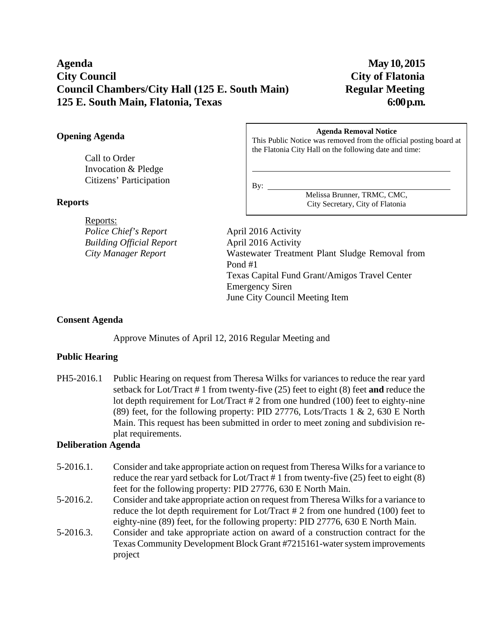# **Agenda May 10, 2015 City Council City of Flatonia Council Chambers/City Hall (125 E. South Main) Regular Meeting 125 E. South Main, Flatonia, Texas 6:00 p.m.**

#### **Opening Agenda**

Call to Order Invocation & Pledge Citizens' Participation

#### **Reports**

Reports: *Police Chief's Report* April 2016 Activity *Building Official Report* April 2016 Activity

#### **Agenda Removal Notice**

This Public Notice was removed from the official posting board at the Flatonia City Hall on the following date and time:

By:

l

Melissa Brunner, TRMC, CMC, City Secretary, City of Flatonia

*City Manager Report* Wastewater Treatment Plant Sludge Removal from Pond #1 Texas Capital Fund Grant/Amigos Travel Center Emergency Siren June City Council Meeting Item

#### **Consent Agenda**

Approve Minutes of April 12, 2016 Regular Meeting and

#### **Public Hearing**

PH5-2016.1 Public Hearing on request from Theresa Wilks for variances to reduce the rear yard setback for Lot/Tract # 1 from twenty-five (25) feet to eight (8) feet **and** reduce the lot depth requirement for Lot/Tract # 2 from one hundred (100) feet to eighty-nine (89) feet, for the following property: PID 27776, Lots/Tracts 1 & 2, 630 E North Main. This request has been submitted in order to meet zoning and subdivision replat requirements.

#### **Deliberation Agenda**

- 5-2016.1. Consider and take appropriate action on request from Theresa Wilks for a variance to reduce the rear yard setback for Lot/Tract # 1 from twenty-five (25) feet to eight (8) feet for the following property: PID 27776, 630 E North Main.
- 5-2016.2. Consider and take appropriate action on request from Theresa Wilks for a variance to reduce the lot depth requirement for Lot/Tract # 2 from one hundred (100) feet to eighty-nine (89) feet, for the following property: PID 27776, 630 E North Main.
- 5-2016.3. Consider and take appropriate action on award of a construction contract for the Texas Community Development Block Grant #7215161-water system improvements project